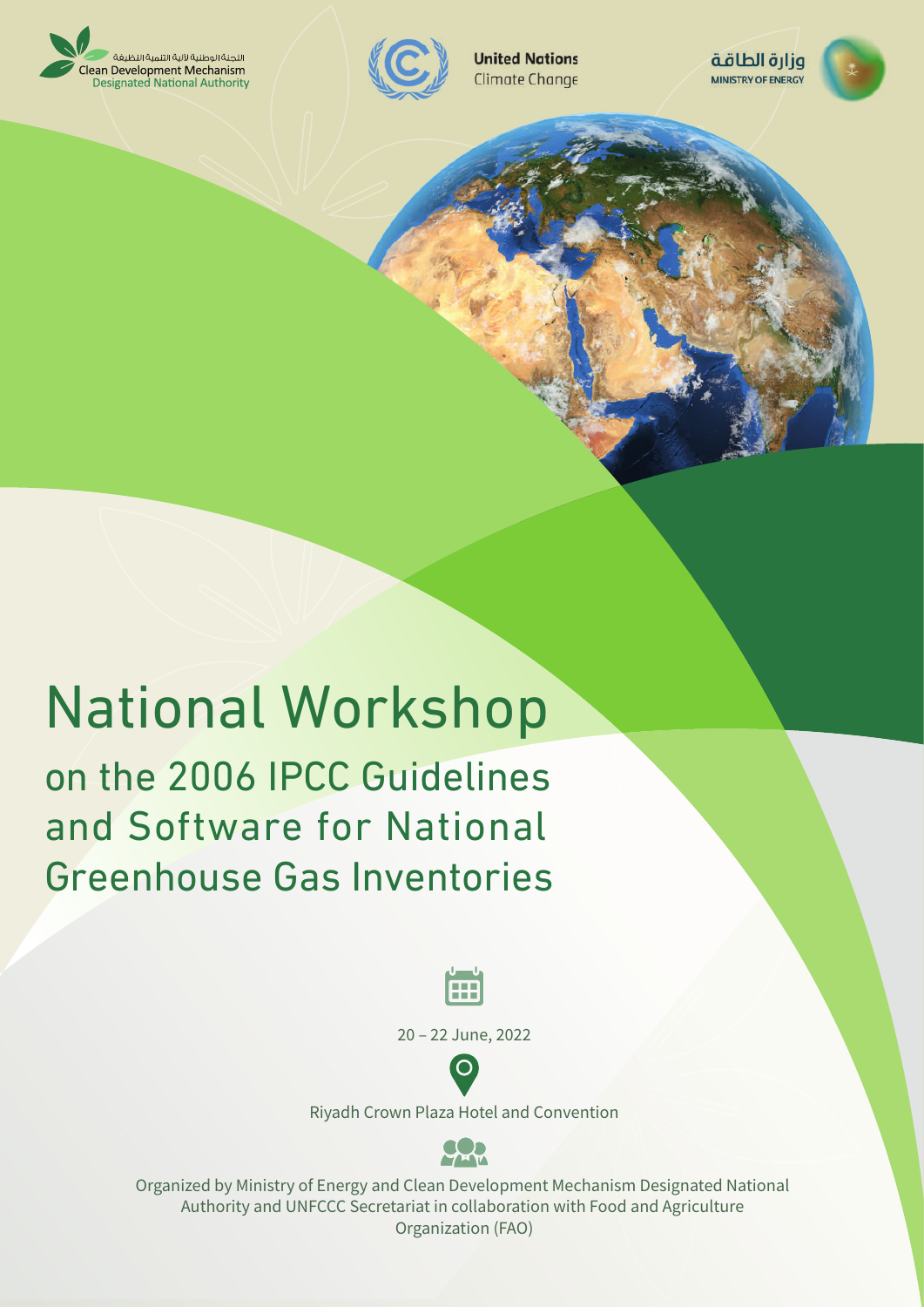



**United Nations** Climate Change



# National Workshop on the 2006 IPCC Guidelines and Software for National Greenhouse Gas Inventories



20 - 22 June, 2022



Riyadh Crown Plaza Hotel and Convention



Organized by Ministry of Energy and Clean Development Mechanism Designated National Authority and UNFCCC Secretariat in collaboration with Food and Agriculture Organization (FAO)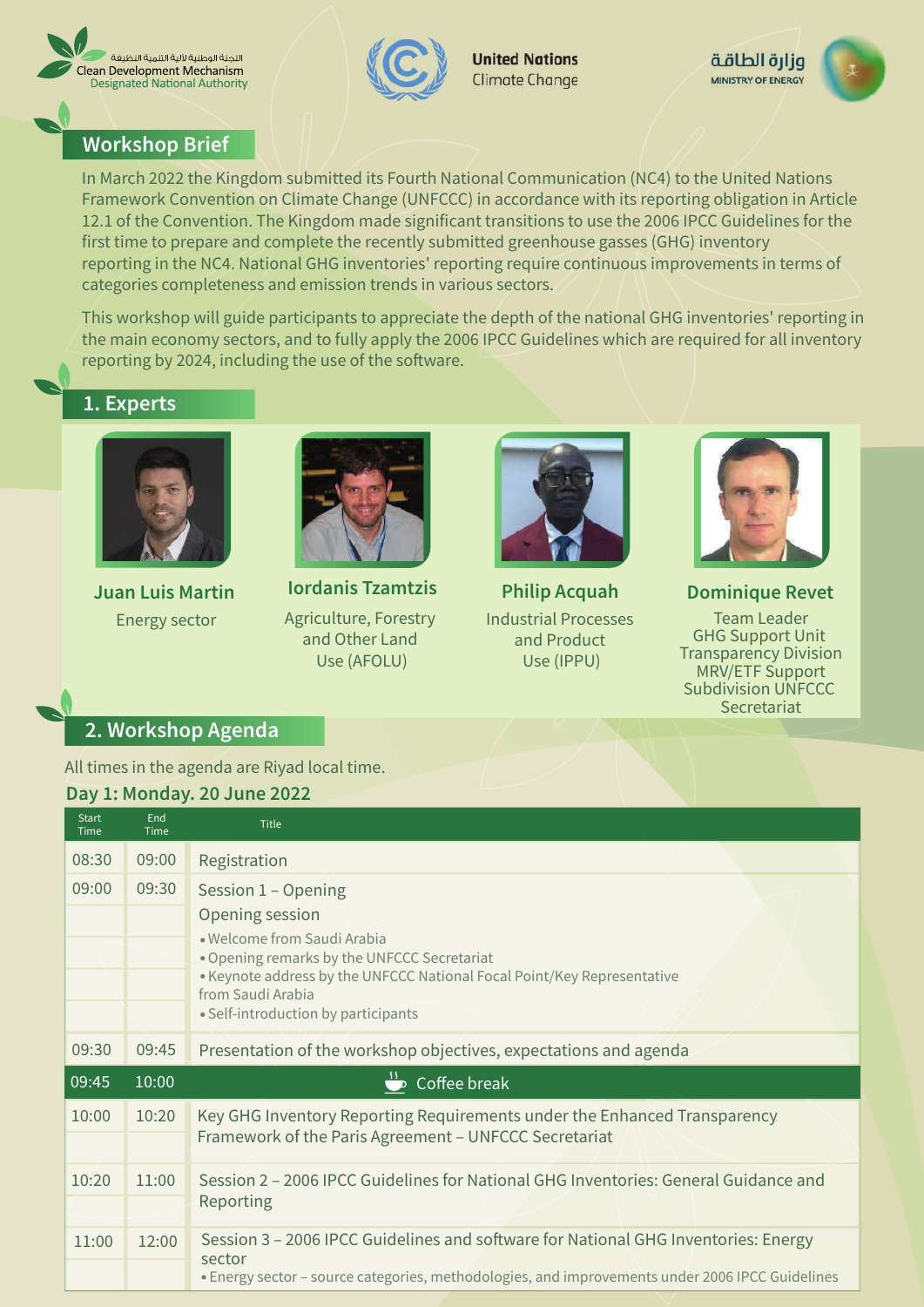



**United Nations** Climate Change



#### **Workshop Brief**

In March 2022 the Kingdom submitted its Fourth National Communication (NC4) to the United Nations Framework Convention on Climate Change (UNFCCC) in accordance with its reporting obligation in Article 12.1 of the Convention. The Kingdom made significant transitions to use the 2006 IPCC Guidelines for the first time to prepare and complete the recently submitted greenhouse gasses (GHG) inventory reporting in the NC4. National GHG inventories' reporting require continuous improvements in terms of categories completeness and emission trends in various sectors.

This workshop will guide participants to appreciate the depth of the national GHG inventories' reporting in the main economy sectors, and to fully apply the 2006 IPCC Guidelines which are required for all inventory reporting by 2024, including the use of the software.

## 1. Experts



**Juan Luis Martin Energy sector** 



**Iordanis Tzamtzis** Agriculture, Forestry and Other Land Use (AFOLU)



**Philip Acquah Industrial Processes** and Product Use (IPPU)



**Dominique Revet Team Leader GHG Support Unit Transparency Division** MRV/ETF Support **Subdivision UNFCCC** Secretariat

### 2. Workshop Agenda

All times in the agenda are Riyad local time.

#### Day 1: Monday. 20 June 2022

| <b>Start</b><br>Time | End<br>Time | Title                                                                                                                                                                                                                                                       |
|----------------------|-------------|-------------------------------------------------------------------------------------------------------------------------------------------------------------------------------------------------------------------------------------------------------------|
| 08:30                | 09:00       | Registration                                                                                                                                                                                                                                                |
| 09:00                | 09:30       | Session 1 - Opening<br>Opening session<br>• Welcome from Saudi Arabia<br>. Opening remarks by the UNFCCC Secretariat<br>. Keynote address by the UNFCCC National Focal Point/Key Representative<br>from Saudi Arabia<br>• Self-introduction by participants |
| 09:30                | 09:45       | Presentation of the workshop objectives, expectations and agenda                                                                                                                                                                                            |
| $\overline{09:45}$   | 10:00       | Coffee break                                                                                                                                                                                                                                                |
| 10:00                | 10:20       | Key GHG Inventory Reporting Requirements under the Enhanced Transparency<br>Framework of the Paris Agreement - UNFCCC Secretariat                                                                                                                           |
| 10:20                | 11:00       | Session 2 – 2006 IPCC Guidelines for National GHG Inventories: General Guidance and<br>Reporting                                                                                                                                                            |
| 11:00                | 12:00       | Session 3 - 2006 IPCC Guidelines and software for National GHG Inventories: Energy<br>sector<br>· Energy sector - source categories, methodologies, and improvements under 2006 IPCC Guidelines                                                             |